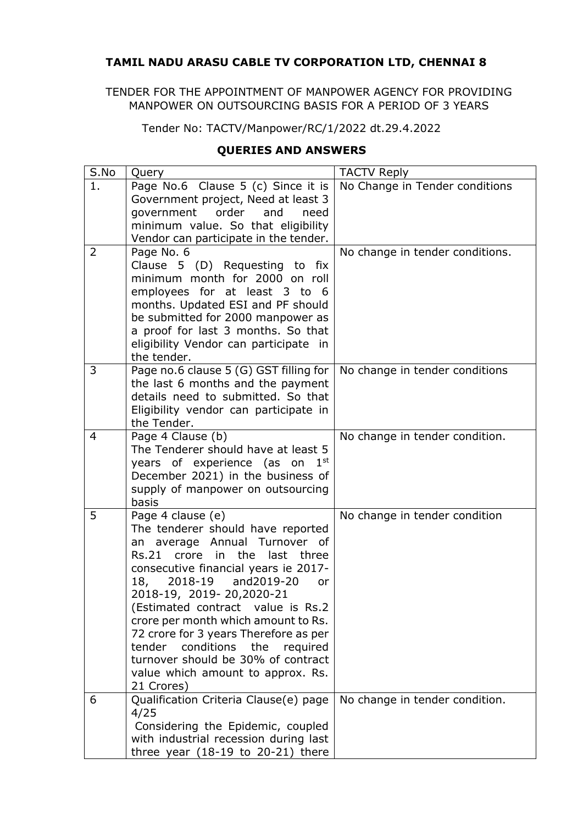## **TAMIL NADU ARASU CABLE TV CORPORATION LTD, CHENNAI 8**

TENDER FOR THE APPOINTMENT OF MANPOWER AGENCY FOR PROVIDING MANPOWER ON OUTSOURCING BASIS FOR A PERIOD OF 3 YEARS

Tender No: TACTV/Manpower/RC/1/2022 dt.29.4.2022

## **QUERIES AND ANSWERS**

| S.No | Query                                                                                                                                                                                                                                                                                                                                                                                                                                                                                                            | <b>TACTV Reply</b>              |
|------|------------------------------------------------------------------------------------------------------------------------------------------------------------------------------------------------------------------------------------------------------------------------------------------------------------------------------------------------------------------------------------------------------------------------------------------------------------------------------------------------------------------|---------------------------------|
| 1.   | Page No.6 Clause 5 (c) Since it is<br>Government project, Need at least 3                                                                                                                                                                                                                                                                                                                                                                                                                                        | No Change in Tender conditions  |
|      | government<br>order<br>and<br>need                                                                                                                                                                                                                                                                                                                                                                                                                                                                               |                                 |
|      | minimum value. So that eligibility                                                                                                                                                                                                                                                                                                                                                                                                                                                                               |                                 |
|      | Vendor can participate in the tender.                                                                                                                                                                                                                                                                                                                                                                                                                                                                            |                                 |
| 2    | Page No. 6<br>Clause 5 (D) Requesting to fix<br>minimum month for 2000 on roll<br>employees for at least 3 to 6<br>months. Updated ESI and PF should<br>be submitted for 2000 manpower as<br>a proof for last 3 months. So that<br>eligibility Vendor can participate in                                                                                                                                                                                                                                         | No change in tender conditions. |
|      | the tender.                                                                                                                                                                                                                                                                                                                                                                                                                                                                                                      |                                 |
| 3    | Page no.6 clause 5 (G) GST filling for<br>the last 6 months and the payment<br>details need to submitted. So that<br>Eligibility vendor can participate in<br>the Tender.                                                                                                                                                                                                                                                                                                                                        | No change in tender conditions  |
| 4    | Page 4 Clause (b)<br>The Tenderer should have at least 5<br>years of experience (as on<br>1 <sup>st</sup><br>December 2021) in the business of<br>supply of manpower on outsourcing<br>basis                                                                                                                                                                                                                                                                                                                     | No change in tender condition.  |
| 5    | Page 4 clause (e)<br>The tenderer should have reported<br>an average Annual Turnover<br>0f<br>the<br><b>Rs.21</b><br>crore<br>in<br>last<br>three<br>consecutive financial years ie 2017-<br>2018-19<br>18,<br>and2019-20<br>or<br>2018-19, 2019-20, 2020-21<br>(Estimated contract value is Rs.2)<br>crore per month which amount to Rs.<br>72 crore for 3 years Therefore as per<br>tender conditions the<br>required<br>turnover should be 30% of contract<br>value which amount to approx. Rs.<br>21 Crores) | No change in tender condition   |
| 6    | Qualification Criteria Clause(e) page<br>4/25<br>Considering the Epidemic, coupled<br>with industrial recession during last<br>three year $(18-19)$ to 20-21) there                                                                                                                                                                                                                                                                                                                                              | No change in tender condition.  |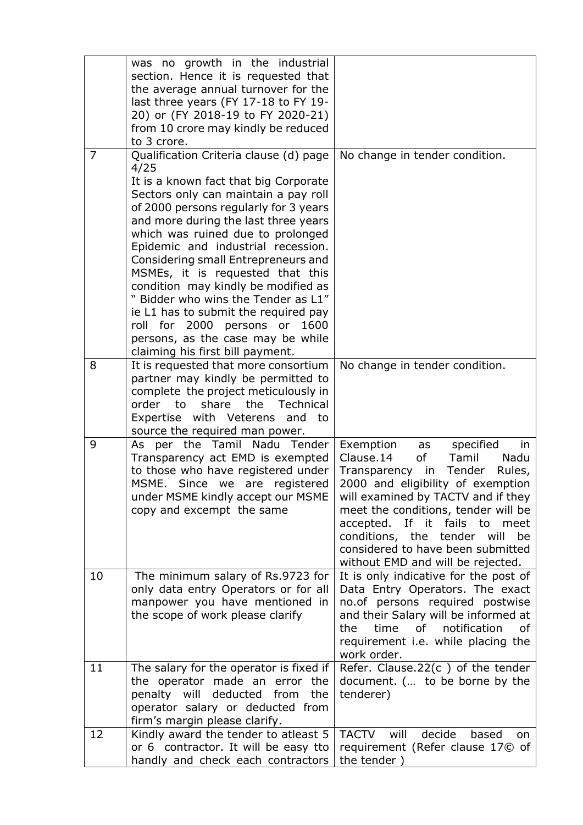|                | was no growth in the industrial<br>section. Hence it is requested that<br>the average annual turnover for the<br>last three years (FY 17-18 to FY 19-<br>20) or (FY 2018-19 to FY 2020-21)<br>from 10 crore may kindly be reduced<br>to 3 crore.                                                                                                                                                                                                                                                                                                                                                             |                                                                                                                                                                                                                                                                                                                                                                                    |
|----------------|--------------------------------------------------------------------------------------------------------------------------------------------------------------------------------------------------------------------------------------------------------------------------------------------------------------------------------------------------------------------------------------------------------------------------------------------------------------------------------------------------------------------------------------------------------------------------------------------------------------|------------------------------------------------------------------------------------------------------------------------------------------------------------------------------------------------------------------------------------------------------------------------------------------------------------------------------------------------------------------------------------|
| $\overline{7}$ | Qualification Criteria clause (d) page<br>4/25<br>It is a known fact that big Corporate<br>Sectors only can maintain a pay roll<br>of 2000 persons regularly for 3 years<br>and more during the last three years<br>which was ruined due to prolonged<br>Epidemic and industrial recession.<br>Considering small Entrepreneurs and<br>MSMEs, it is requested that this<br>condition may kindly be modified as<br>" Bidder who wins the Tender as L1"<br>ie L1 has to submit the required pay<br>roll for 2000 persons<br>or<br>1600<br>persons, as the case may be while<br>claiming his first bill payment. | No change in tender condition.                                                                                                                                                                                                                                                                                                                                                     |
| 8              | It is requested that more consortium<br>partner may kindly be permitted to<br>complete the project meticulously in<br>the<br><b>Technical</b><br>order<br>to<br>share<br>Expertise with Veterens<br>and<br>to<br>source the required man power.                                                                                                                                                                                                                                                                                                                                                              | No change in tender condition.                                                                                                                                                                                                                                                                                                                                                     |
| 9              | Nadu<br>per the<br>Tamil<br>Tender<br>As<br>Transparency act EMD is exempted<br>to those who have registered under<br>MSME. Since we are registered<br>under MSME kindly accept our MSME<br>copy and excempt the same                                                                                                                                                                                                                                                                                                                                                                                        | Exemption<br>specified<br>as<br>in<br>Clause.14<br>of<br>Tamil<br>Nadu<br>Transparency in<br>Tender<br>Rules,<br>2000 and eligibility of exemption<br>will examined by TACTV and if they<br>meet the conditions, tender will be<br>accepted. If it fails to<br>meet<br>conditions, the tender will<br>be<br>considered to have been submitted<br>without EMD and will be rejected. |
| 10             | The minimum salary of Rs.9723 for<br>only data entry Operators or for all<br>manpower you have mentioned in<br>the scope of work please clarify                                                                                                                                                                                                                                                                                                                                                                                                                                                              | It is only indicative for the post of<br>Data Entry Operators. The exact<br>no.of persons required postwise<br>and their Salary will be informed at<br>notification<br>the<br>time<br>of<br>οf<br>requirement <i>i.e.</i> while placing the<br>work order.                                                                                                                         |
| 11             | The salary for the operator is fixed if<br>the operator made an error the<br>penalty will deducted from<br>the<br>operator salary or deducted from<br>firm's margin please clarify.                                                                                                                                                                                                                                                                                                                                                                                                                          | Refer. Clause.22 $(c)$ of the tender<br>document. ( to be borne by the<br>tenderer)                                                                                                                                                                                                                                                                                                |
| 12             | Kindly award the tender to atleast 5<br>or 6 contractor. It will be easy tto<br>handly and check each contractors                                                                                                                                                                                                                                                                                                                                                                                                                                                                                            | TACTV will<br>decide<br>based<br>on.<br>requirement (Refer clause 17© of<br>the tender)                                                                                                                                                                                                                                                                                            |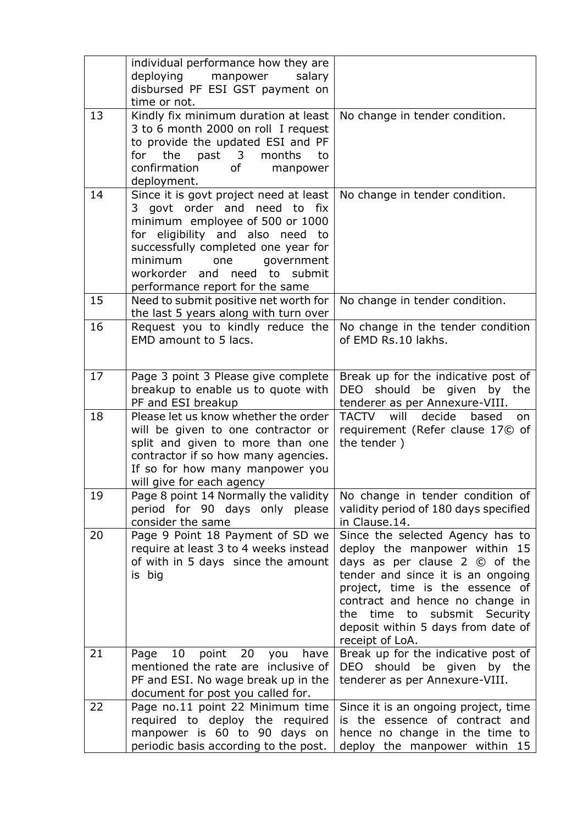|    | individual performance how they are<br>deploying manpower<br>salary<br>disbursed PF ESI GST payment on<br>time or not.                                                                                                                                                                  |                                                                                                                                                                                                                                                                                                                              |
|----|-----------------------------------------------------------------------------------------------------------------------------------------------------------------------------------------------------------------------------------------------------------------------------------------|------------------------------------------------------------------------------------------------------------------------------------------------------------------------------------------------------------------------------------------------------------------------------------------------------------------------------|
| 13 | Kindly fix minimum duration at least<br>3 to 6 month 2000 on roll I request<br>to provide the updated ESI and PF<br>the past 3 months<br>for<br>to<br>confirmation<br>of the control<br>manpower<br>deployment.                                                                         | No change in tender condition.                                                                                                                                                                                                                                                                                               |
| 14 | Since it is govt project need at least<br>3 govt order and need to fix<br>minimum employee of 500 or 1000<br>for eligibility and also need to<br>successfully completed one year for<br>minimum<br>one<br>government<br>workorder and need to submit<br>performance report for the same | No change in tender condition.                                                                                                                                                                                                                                                                                               |
| 15 | Need to submit positive net worth for<br>the last 5 years along with turn over                                                                                                                                                                                                          | No change in tender condition.                                                                                                                                                                                                                                                                                               |
| 16 | Request you to kindly reduce the<br>EMD amount to 5 lacs.                                                                                                                                                                                                                               | No change in the tender condition<br>of EMD Rs.10 lakhs.                                                                                                                                                                                                                                                                     |
| 17 | Page 3 point 3 Please give complete<br>breakup to enable us to quote with<br>PF and ESI breakup                                                                                                                                                                                         | Break up for the indicative post of<br>DEO should be given by the<br>tenderer as per Annexure-VIII.                                                                                                                                                                                                                          |
| 18 | Please let us know whether the order<br>will be given to one contractor or<br>split and given to more than one<br>contractor if so how many agencies.<br>If so for how many manpower you<br>will give for each agency                                                                   | TACTV will<br>decide<br>based<br>on.<br>requirement (Refer clause 17© of<br>the tender)                                                                                                                                                                                                                                      |
| 19 | Page 8 point 14 Normally the validity<br>period for 90 days only please<br>consider the same                                                                                                                                                                                            | No change in tender condition of<br>validity period of 180 days specified<br>in Clause.14.                                                                                                                                                                                                                                   |
| 20 | Page 9 Point 18 Payment of SD we<br>require at least 3 to 4 weeks instead<br>of with in 5 days since the amount<br>is big                                                                                                                                                               | Since the selected Agency has to<br>deploy the manpower within 15<br>days as per clause $2 \circledcirc$ of the<br>tender and since it is an ongoing<br>project, time is the essence of<br>contract and hence no change in<br>subsmit<br>time to<br>Security<br>the<br>deposit within 5 days from date of<br>receipt of LoA. |
| 21 | 10<br>20<br>Page<br>point<br>have<br>you<br>mentioned the rate are inclusive of<br>PF and ESI. No wage break up in the<br>document for post you called for.                                                                                                                             | Break up for the indicative post of<br>DEO should be given<br>by the<br>tenderer as per Annexure-VIII.                                                                                                                                                                                                                       |
| 22 | Page no.11 point 22 Minimum time<br>required to deploy the required<br>manpower is 60 to 90 days on<br>periodic basis according to the post.                                                                                                                                            | Since it is an ongoing project, time<br>is the essence of contract and<br>hence no change in the time to<br>deploy the manpower within 15                                                                                                                                                                                    |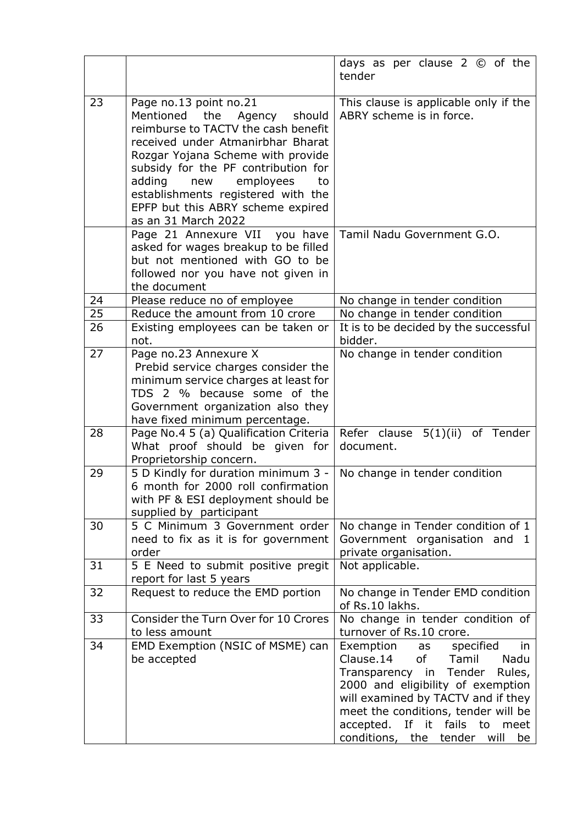|    |                                                                                                                                                                                                                                                                                                                                                        | days as per clause $2 \circledcirc$ of the<br>tender                                                                                                                                                                                                                                            |
|----|--------------------------------------------------------------------------------------------------------------------------------------------------------------------------------------------------------------------------------------------------------------------------------------------------------------------------------------------------------|-------------------------------------------------------------------------------------------------------------------------------------------------------------------------------------------------------------------------------------------------------------------------------------------------|
| 23 | Page no.13 point no.21<br>Mentioned the Agency<br>should<br>reimburse to TACTV the cash benefit<br>received under Atmanirbhar Bharat<br>Rozgar Yojana Scheme with provide<br>subsidy for the PF contribution for<br>adding<br>employees<br>new<br>to<br>establishments registered with the<br>EPFP but this ABRY scheme expired<br>as an 31 March 2022 | This clause is applicable only if the<br>ABRY scheme is in force.                                                                                                                                                                                                                               |
|    | Page 21 Annexure VII<br>you have<br>asked for wages breakup to be filled<br>but not mentioned with GO to be<br>followed nor you have not given in<br>the document                                                                                                                                                                                      | Tamil Nadu Government G.O.                                                                                                                                                                                                                                                                      |
| 24 | Please reduce no of employee                                                                                                                                                                                                                                                                                                                           | No change in tender condition                                                                                                                                                                                                                                                                   |
| 25 | Reduce the amount from 10 crore                                                                                                                                                                                                                                                                                                                        | No change in tender condition                                                                                                                                                                                                                                                                   |
| 26 | Existing employees can be taken or<br>not.                                                                                                                                                                                                                                                                                                             | It is to be decided by the successful<br>bidder.                                                                                                                                                                                                                                                |
| 27 | Page no.23 Annexure X<br>Prebid service charges consider the<br>minimum service charges at least for<br>TDS 2 % because some of the<br>Government organization also they<br>have fixed minimum percentage.                                                                                                                                             | No change in tender condition                                                                                                                                                                                                                                                                   |
| 28 | Page No.4 5 (a) Qualification Criteria<br>What proof should be given for<br>Proprietorship concern.                                                                                                                                                                                                                                                    | 5(1)(ii) of Tender<br>Refer clause<br>document.                                                                                                                                                                                                                                                 |
| 29 | 5 D Kindly for duration minimum $3 -$ No change in tender condition<br>6 month for 2000 roll confirmation<br>with PF & ESI deployment should be<br>supplied by participant                                                                                                                                                                             |                                                                                                                                                                                                                                                                                                 |
| 30 | 5 C Minimum 3 Government order<br>need to fix as it is for government<br>order                                                                                                                                                                                                                                                                         | No change in Tender condition of 1<br>Government organisation and 1<br>private organisation.                                                                                                                                                                                                    |
| 31 | 5 E Need to submit positive pregit<br>report for last 5 years                                                                                                                                                                                                                                                                                          | Not applicable.                                                                                                                                                                                                                                                                                 |
| 32 | Request to reduce the EMD portion                                                                                                                                                                                                                                                                                                                      | No change in Tender EMD condition<br>of Rs.10 lakhs.                                                                                                                                                                                                                                            |
| 33 | Consider the Turn Over for 10 Crores<br>to less amount                                                                                                                                                                                                                                                                                                 | No change in tender condition of<br>turnover of Rs.10 crore.                                                                                                                                                                                                                                    |
| 34 | EMD Exemption (NSIC of MSME) can<br>be accepted                                                                                                                                                                                                                                                                                                        | Exemption as specified<br>in<br>Clause.14<br>of<br>Tamil<br>Nadu<br>Transparency in Tender<br>Rules,<br>2000 and eligibility of exemption<br>will examined by TACTV and if they<br>meet the conditions, tender will be<br>accepted. If it fails to<br>meet<br>conditions, the tender will<br>be |